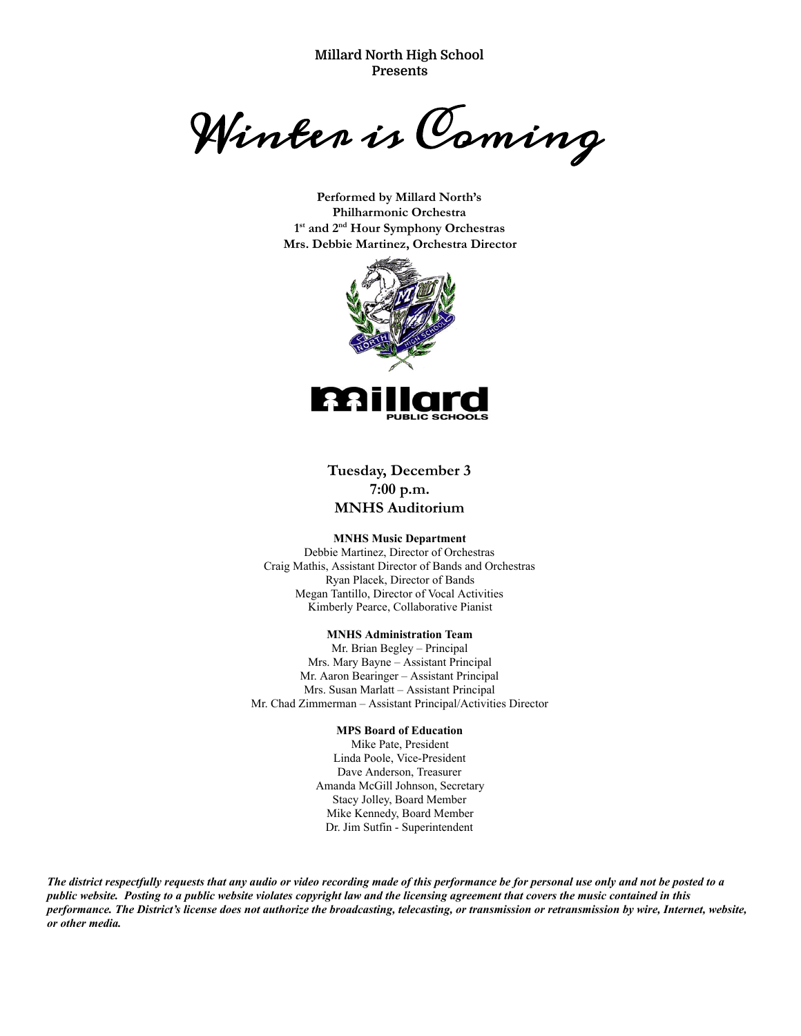**Millard North High School Presents**

Winter is Coming

**Performed by Millard North's Philharmonic Orchestra 1st and 2nd Hour Symphony Orchestras Mrs. Debbie Martinez, Orchestra Director**



**Tuesday, December 3 7:00 p.m. MNHS Auditorium** 

#### **MNHS Music Department**

Debbie Martinez, Director of Orchestras Craig Mathis, Assistant Director of Bands and Orchestras Ryan Placek, Director of Bands Megan Tantillo, Director of Vocal Activities Kimberly Pearce, Collaborative Pianist

#### **MNHS Administration Team**

Mr. Brian Begley – Principal Mrs. Mary Bayne – Assistant Principal Mr. Aaron Bearinger – Assistant Principal Mrs. Susan Marlatt – Assistant Principal Mr. Chad Zimmerman – Assistant Principal/Activities Director

#### **MPS Board of Education**

Mike Pate, President Linda Poole, Vice-President Dave Anderson, Treasurer Amanda McGill Johnson, Secretary Stacy Jolley, Board Member Mike Kennedy, Board Member Dr. Jim Sutfin - Superintendent

*The district respectfully requests that any audio or video recording made of this performance be for personal use only and not be posted to a public website. Posting to a public website violates copyright law and the licensing agreement that covers the music contained in this performance. The District's license does not authorize the broadcasting, telecasting, or transmission or retransmission by wire, Internet, website, or other media.*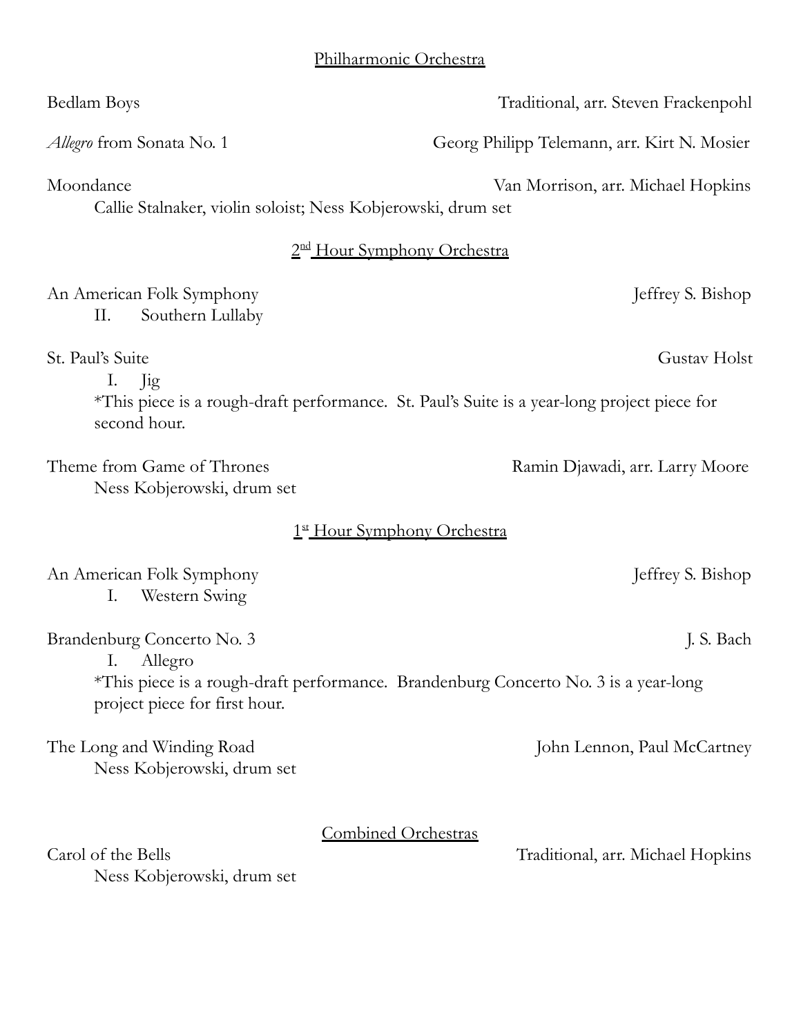| Bedlam Boys                                                                                                                               | Traditional, arr. Steven Frackenpohl        |  |  |  |
|-------------------------------------------------------------------------------------------------------------------------------------------|---------------------------------------------|--|--|--|
| <i>Allegro</i> from Sonata No. 1                                                                                                          | Georg Philipp Telemann, arr. Kirt N. Mosier |  |  |  |
| Moondance<br>Callie Stalnaker, violin soloist; Ness Kobjerowski, drum set                                                                 | Van Morrison, arr. Michael Hopkins          |  |  |  |
| 2 <sup>nd</sup> Hour Symphony Orchestra                                                                                                   |                                             |  |  |  |
| An American Folk Symphony<br>Southern Lullaby<br>П.                                                                                       | Jeffrey S. Bishop                           |  |  |  |
| St. Paul's Suite<br>I. Jig<br>*This piece is a rough-draft performance. St. Paul's Suite is a year-long project piece for<br>second hour. | Gustav Holst                                |  |  |  |
| Theme from Game of Thrones<br>Ness Kobjerowski, drum set                                                                                  | Ramin Djawadi, arr. Larry Moore             |  |  |  |
| 1st Hour Symphony Orchestra                                                                                                               |                                             |  |  |  |
| An American Folk Symphony<br>Ι.<br>Western Swing                                                                                          | Jeffrey S. Bishop                           |  |  |  |
| Brandenburg Concerto No. 3                                                                                                                | J. S. Bach                                  |  |  |  |
| Allegro<br>Ι.<br>*This piece is a rough-draft performance. Brandenburg Concerto No. 3 is a year-long<br>project piece for first hour.     |                                             |  |  |  |
| The Long and Winding Road<br>Ness Kobjerowski, drum set                                                                                   | John Lennon, Paul McCartney                 |  |  |  |
| <b>Combined Orchestras</b><br>Carol of the Bells<br>Ness Kobjerowski, drum set                                                            | Traditional, arr. Michael Hopkins           |  |  |  |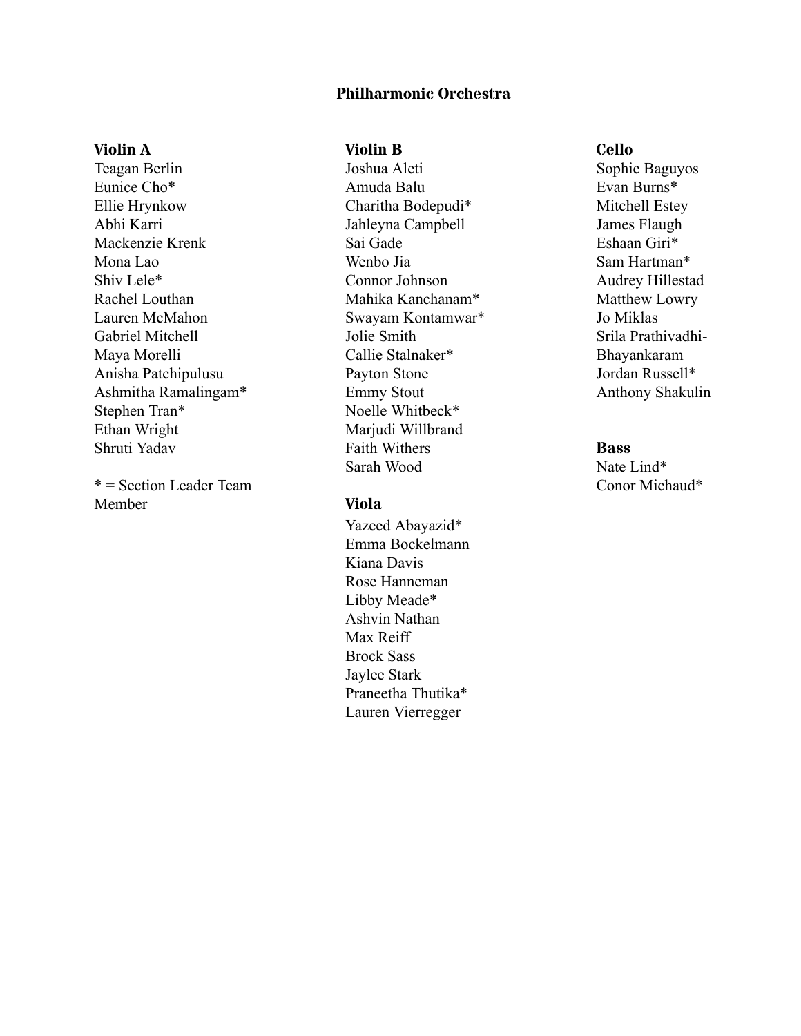## **Philharmonic Orchestra**

### **Violin A**

Teagan Berlin Eunice Cho\* Ellie Hrynkow Abhi Karri Mackenzie Krenk Mona Lao Shiv Lele\* Rachel Louthan Lauren McMahon Gabriel Mitchell Maya Morelli Anisha Patchipulusu Ashmitha Ramalingam\* Stephen Tran\* Ethan Wright Shruti Yadav

\* = Section Leader Team Member

### **Violin B**

Joshua Aleti Amuda Balu Charitha Bodepudi\* Jahleyna Campbell Sai Gade Wenbo Jia Connor Johnson Mahika Kanchanam\* Swayam Kontamwar\* Jolie Smith Callie Stalnaker\* Payton Stone Emmy Stout Noelle Whitbeck\* Mariudi Willbrand Faith Withers Sarah Wood

#### **Viola**

Yazeed Abayazid\* Emma Bockelmann Kiana Davis Rose Hanneman Libby Meade\* Ashvin Nathan Max Reiff Brock Sass Jaylee Stark Praneetha Thutika\* Lauren Vierregger

#### **Cello**

Sophie Baguyos Evan Burns\* Mitchell Estey James Flaugh Eshaan Giri\* Sam Hartman\* Audrey Hillestad Matthew Lowry Jo Miklas Srila Prathivadhi-Bhayankaram Jordan Russell\* Anthony Shakulin

#### **Bass**

Nate Lind\* Conor Michaud\*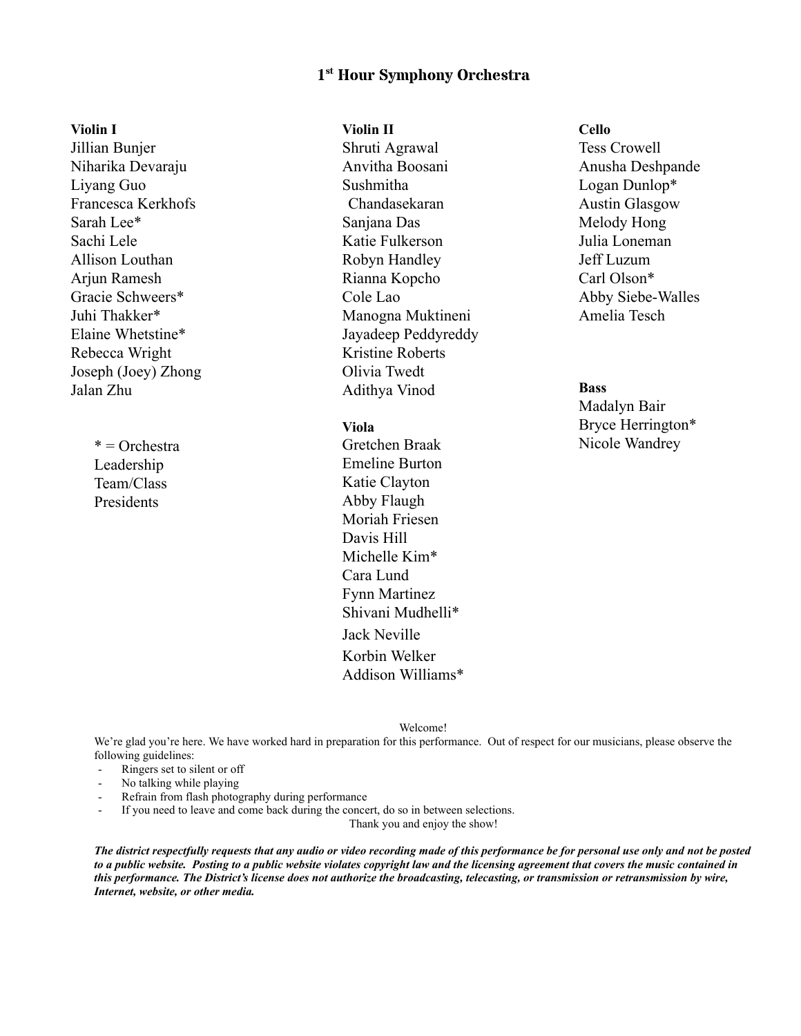## **1 st Hour Symphony Orchestra**

**Violin I**

Jillian Bunjer Niharika Devaraju Liyang Guo Francesca Kerkhofs Sarah Lee\* Sachi Lele Allison Louthan Arjun Ramesh Gracie Schweers\* Juhi Thakker\* Elaine Whetstine\* Rebecca Wright Joseph (Joey) Zhong Jalan Zhu

> \* = Orchestra Leadership Team/Class **Presidents**

#### **Violin II**

Shruti Agrawal Anvitha Boosani Sushmitha Chandasekaran Sanjana Das Katie Fulkerson Robyn Handley Rianna Kopcho Cole Lao Manogna Muktineni Jayadeep Peddyreddy Kristine Roberts Olivia Twedt Adithya Vinod

## **Viola**

Gretchen Braak Emeline Burton Katie Clayton Abby Flaugh Moriah Friesen Davis Hill Michelle Kim\* Cara Lund Fynn Martinez Shivani Mudhelli\* Jack Neville Korbin Welker Addison Williams\*

# **Cello** Tess Crowell Anusha Deshpande Logan Dunlop\* Austin Glasgow Melody Hong Julia Loneman Jeff Luzum Carl Olson\* Abby Siebe-Walles Amelia Tesch

## **Bass**

Madalyn Bair Bryce Herrington\* Nicole Wandrey

Welcome!

We're glad you're here. We have worked hard in preparation for this performance. Out of respect for our musicians, please observe the following guidelines:

- Ringers set to silent or off
- No talking while playing<br>Refrain from flash photos
- Refrain from flash photography during performance
- If you need to leave and come back during the concert, do so in between selections.

Thank you and enjoy the show!

*The district respectfully requests that any audio or video recording made of this performance be for personal use only and not be posted to a public website. Posting to a public website violates copyright law and the licensing agreement that covers the music contained in this performance. The District's license does not authorize the broadcasting, telecasting, or transmission or retransmission by wire, Internet, website, or other media.*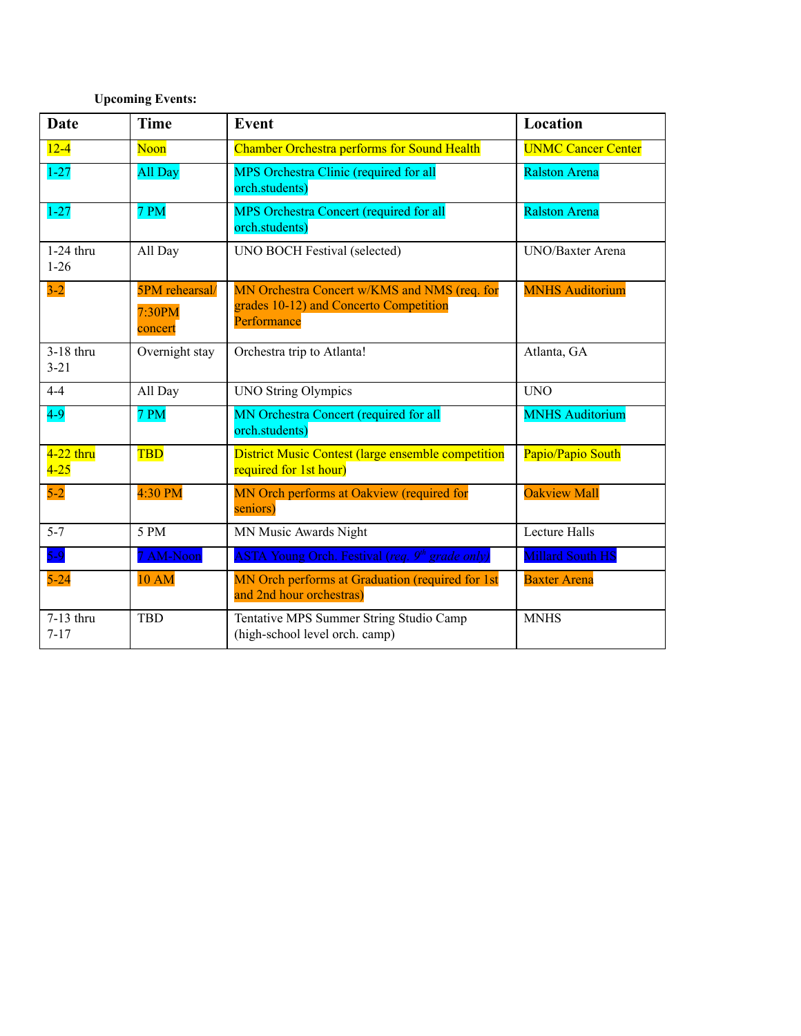# **Upcoming Events:**

| <b>Date</b>             | <b>Time</b>                         | Event                                                                                                 | Location                  |
|-------------------------|-------------------------------------|-------------------------------------------------------------------------------------------------------|---------------------------|
| $12 - 4$                | Noon                                | <b>Chamber Orchestra performs for Sound Health</b>                                                    | <b>UNMC Cancer Center</b> |
| $1 - 27$                | All Day                             | MPS Orchestra Clinic (required for all<br>orch.students)                                              | <b>Ralston Arena</b>      |
| $1 - 27$                | 7 PM                                | MPS Orchestra Concert (required for all<br>orch.students)                                             | <b>Ralston Arena</b>      |
| $1-24$ thru<br>$1 - 26$ | All Day                             | UNO BOCH Festival (selected)                                                                          | <b>UNO/Baxter Arena</b>   |
| $3 - 2$                 | 5PM rehearsal/<br>7:30PM<br>concert | MN Orchestra Concert w/KMS and NMS (req. for<br>grades 10-12) and Concerto Competition<br>Performance | <b>MNHS Auditorium</b>    |
| 3-18 thru<br>$3 - 21$   | Overnight stay                      | Orchestra trip to Atlanta!                                                                            | Atlanta, GA               |
| $4 - 4$                 | All Day                             | <b>UNO String Olympics</b>                                                                            | <b>UNO</b>                |
| $4-9$                   | 7 PM                                | MN Orchestra Concert (required for all<br>orch.students)                                              | <b>MNHS Auditorium</b>    |
| $4-22$ thru<br>$4 - 25$ | <b>TBD</b>                          | <b>District Music Contest (large ensemble competition</b><br>required for 1st hour)                   | Papio/Papio South         |
| $5-2$                   | 4:30 PM                             | MN Orch performs at Oakview (required for<br>seniors)                                                 | <b>Oakview Mall</b>       |
| $5 - 7$                 | 5 PM                                | MN Music Awards Night                                                                                 | <b>Lecture Halls</b>      |
| $5-9$                   | 7 AM-Noon                           | <b>ASTA Young Orch. Festival (req. 9th grade only)</b>                                                | <b>Millard South HS</b>   |
| $5 - 24$                | <b>10 AM</b>                        | MN Orch performs at Graduation (required for 1st<br>and 2nd hour orchestras)                          | <b>Baxter Arena</b>       |
| 7-13 thru<br>$7 - 17$   | <b>TBD</b>                          | Tentative MPS Summer String Studio Camp<br>(high-school level orch. camp)                             | <b>MNHS</b>               |